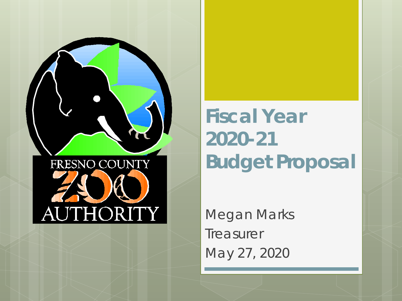

**Fiscal Year 2020-21 Budget Proposal**

Megan Marks **Treasurer** May 27, 2020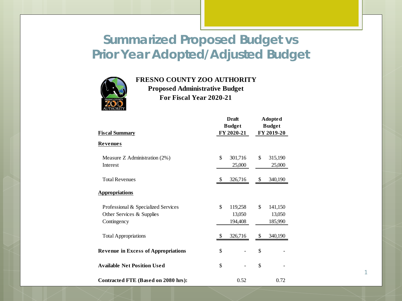#### **Summarized Proposed Budget vs Prior Year Adopted/Adjusted Budget**



#### **FRESNO COUNTY ZOO AUTHORITY**

**Proposed Administrative Budget For Fiscal Year 2020-21**

| <b>Fiscal Summary</b>                                                           | <b>Draft</b><br><b>Budget</b><br>FY 2020-21 | <b>Adopted</b><br><b>Budget</b><br>FY 2019-20 |                              |  |
|---------------------------------------------------------------------------------|---------------------------------------------|-----------------------------------------------|------------------------------|--|
| <u>Revenues</u>                                                                 |                                             |                                               |                              |  |
| Measure Z Administration $(2%)$<br>Interest                                     | \$<br>301,716<br>25,000                     | \$                                            | 315,190<br>25,000            |  |
| <b>Total Revenues</b>                                                           | \$<br>326,716                               | \$                                            | 340,190                      |  |
| <b>Appropriations</b>                                                           |                                             |                                               |                              |  |
| Professional & Specialized Services<br>Other Services & Supplies<br>Contingency | \$<br>119,258<br>13,050<br>194,408          | \$                                            | 141,150<br>13,050<br>185,990 |  |
| <b>Total Appropriations</b>                                                     | \$<br>326,716                               | \$                                            | 340,190                      |  |
| <b>Revenue in Excess of Appropriations</b>                                      | \$                                          | \$                                            |                              |  |
| <b>Available Net Position Used</b>                                              | \$                                          | \$                                            |                              |  |
| Contracted FTE (Based on 2080 hrs):                                             | 0.52                                        |                                               | 0.72                         |  |

1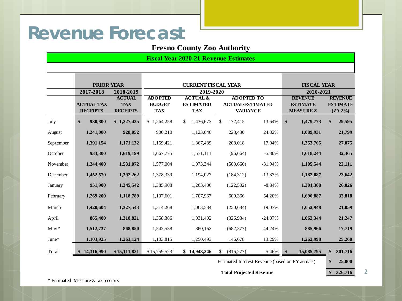## **Revenue Forecast**

#### **Fresno County Zoo Authority**

**Fiscal Year 2020-21 Revenue Estimates**

|            | <b>PRIOR YEAR</b> |                 | <b>CURRENT FISCAL YEAR</b> |                                                  | <b>FISCAL YEAR</b>      |           |                  |                 |  |
|------------|-------------------|-----------------|----------------------------|--------------------------------------------------|-------------------------|-----------|------------------|-----------------|--|
|            | 2017-2018         | 2018-2019       |                            | 2019-2020                                        |                         |           | 2020-2021        |                 |  |
|            |                   | <b>ACTUAL</b>   | <b>ADOPTED</b>             | <b>ACTUAL &amp;</b>                              | <b>ADOPTED TO</b>       |           | <b>REVENUE</b>   | <b>REVENUE</b>  |  |
|            | <b>ACTUAL TAX</b> | <b>TAX</b>      | <b>BUDGET</b>              | <b>ESTIMATED</b>                                 | <b>ACTUAL/ESTIMATED</b> |           | <b>ESTIMATE</b>  | <b>ESTIMATE</b> |  |
|            | <b>RECEIPTS</b>   | <b>RECEIPTS</b> | <b>TAX</b>                 | <b>TAX</b>                                       | <b>VARIANCE</b>         |           | <b>MEASUREZ</b>  | $(ZA 2\%)$      |  |
| July       | \$<br>930,800     | \$1,227,435     | \$1<br>,264,258            | $\mathbb{S}$<br>1,436,673                        | \$<br>172,415           | 13.64%    | \$<br>1,479,773  | \$<br>29,595    |  |
| August     | 1,241,000         | 928,052         | 900,210                    | 1,123,640                                        | 223,430                 | 24.82%    | 1,089,931        | 21,799          |  |
| September  | 1,391,154         | 1,171,132       | 1,159,421                  | 1,367,439                                        | 208,018                 | 17.94%    | 1,353,765        | 27,075          |  |
| October    | 933,300           | 1,619,199       | 1,667,775                  | 1,571,111                                        | (96, 664)               | $-5.80%$  | 1,618,244        | 32,365          |  |
| November   | 1,244,400         | 1,531,072       | 1,577,004                  | 1,073,344                                        | (503,660)               | $-31.94%$ | 1,105,544        | 22,111          |  |
| December   | 1,452,570         | 1,392,262       | 1,378,339                  | 1,194,027                                        | (184, 312)              | $-13.37%$ | 1,182,087        | 23,642          |  |
| January    | 951,900           | 1,345,542       | 1,385,908                  | 1,263,406                                        | (122,502)               | $-8.84%$  | 1,301,308        | 26,026          |  |
| February   | 1,269,200         | 1,118,789       | 1,107,601                  | 1,707,967                                        | 600,366                 | 54.20%    | 1,690,887        | 33,818          |  |
| M arch     | 1,420,604         | 1,327,543       | 1,314,268                  | 1,063,584                                        | (250, 684)              | $-19.07%$ | 1,052,948        | 21,059          |  |
| April      | 865,400           | 1,318,821       | 1,358,386                  | 1,031,402                                        | (326,984)               | $-24.07%$ | 1,062,344        | 21,247          |  |
| $M$ ay $*$ | 1,512,737         | 868,850         | 1,542,538                  | 860.162                                          | (682, 377)              | $-44.24%$ | 885,966          | 17,719          |  |
| June*      | 1,103,925         | 1,263,124       | 1,103,815                  | 1,250,493                                        | 146,678                 | 13.29%    | 1,262,998        | 25,260          |  |
| Total      | 14,316,990<br>S   | \$15,111,821    | \$15,759,523               | \$14,943,246                                     | (816, 277)<br>\$        | $-5.46%$  | \$<br>15,085,795 | \$<br>301,716   |  |
|            |                   |                 |                            | Estimated Interest Revenue (based on PY actuals) | \$<br>25,000            |           |                  |                 |  |

Total Projected Revenue **\$ 326,716** 

\* Estimated Measure Z tax receipts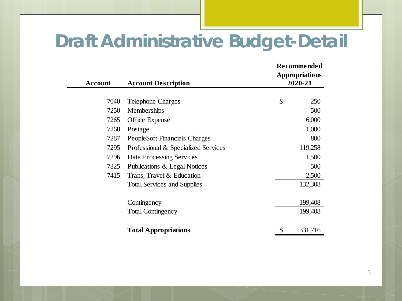## **Draft Administrative Budget-Detail**

| <b>Account</b> | <b>Account Description</b>          | 2020-21       | <b>Recommended</b><br><b>Appropriations</b> |  |  |
|----------------|-------------------------------------|---------------|---------------------------------------------|--|--|
| 7040           | <b>Telephone Charges</b>            | \$            | 250                                         |  |  |
| 7250           |                                     |               | 500                                         |  |  |
|                | Memberships                         |               |                                             |  |  |
| 7265           | <b>Office Expense</b>               | 6,000         |                                             |  |  |
| 7268           | Postage                             | 1,000         |                                             |  |  |
| 7287           | PeopleSoft Financials Charges       |               | 800                                         |  |  |
| 7295           | Professional & Specialized Services | 119,258       |                                             |  |  |
| 7296           | Data Processing Services            | 1,500         |                                             |  |  |
| 7325           | Publications & Legal Notices        |               | 500                                         |  |  |
| 7415           | Trans, Travel & Education           | 2,500         |                                             |  |  |
|                | <b>Total Services and Supplies</b>  | 132,308       |                                             |  |  |
|                | Contingency                         | 199,408       |                                             |  |  |
|                | <b>Total Contingency</b>            | 199,408       |                                             |  |  |
|                | <b>Total Appropriations</b>         | \$<br>331,716 |                                             |  |  |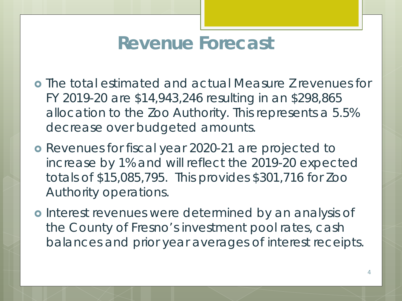## **Revenue Forecast**

- The total estimated and actual Measure Z revenues for FY 2019-20 are \$14,943,246 resulting in an \$298,865 allocation to the Zoo Authority. This represents a 5.5% decrease over budgeted amounts.
- Revenues for fiscal year 2020-21 are projected to increase by 1% and will reflect the 2019-20 expected totals of \$15,085,795. This provides \$301,716 for Zoo Authority operations.
- o Interest revenues were determined by an analysis of the County of Fresno's investment pool rates, cash balances and prior year averages of interest receipts.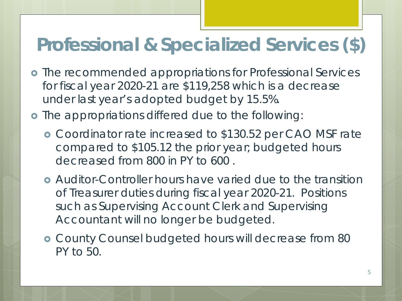## **Professional & Specialized Services (\$)**

- **o** The recommended appropriations for Professional Services for fiscal year 2020-21 are \$119,258 which is a decrease under last year's adopted budget by 15.5%.
- o The appropriations differed due to the following:
	- Coordinator rate increased to \$130.52 per CAO MSF rate compared to \$105.12 the prior year; budgeted hours decreased from 800 in PY to 600 .
	- Auditor-Controller hours have varied due to the transition of Treasurer duties during fiscal year 2020-21. Positions such as Supervising Account Clerk and Supervising Accountant will no longer be budgeted.
	- County Counsel budgeted hours will decrease from 80 PY to 50.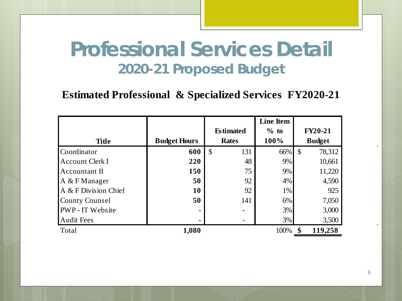#### **Professional Services Detail 2020-21 Proposed Budget**

#### **Estimated Professional & Specialized Services FY2020-21**

|                         |                     |                      | <b>Line Item</b> |                         |  |
|-------------------------|---------------------|----------------------|------------------|-------------------------|--|
|                         |                     | <b>Estimated</b>     | $%$ to           | <b>FY20-21</b>          |  |
| <b>Title</b>            | <b>Budget Hours</b> | <b>Rates</b>         | 100%             | <b>Budget</b>           |  |
| Coordinator             | 600                 | $\mathcal{S}$<br>131 | 66%              | $\mathcal{S}$<br>78,312 |  |
| Account Clerk I         | 220                 | 48                   | 9%               | 10,661                  |  |
| Accountant II           | 150                 | 75                   | 9%               | 11,220                  |  |
| $A \& F$ Manager        | 50                  | 92                   | 4%               | 4,590                   |  |
| A & F Division Chief    | <b>10</b>           | 92                   | 1%               | 925                     |  |
| <b>County Counsel</b>   | 50                  | 141                  | 6%               | 7,050                   |  |
| <b>PWP</b> - IT Website |                     |                      | 3%               | 3,000                   |  |
| <b>Audit Fees</b>       |                     |                      | 3%               | 3,500                   |  |
| Total                   | 1,080               |                      | 100%             | 119,258                 |  |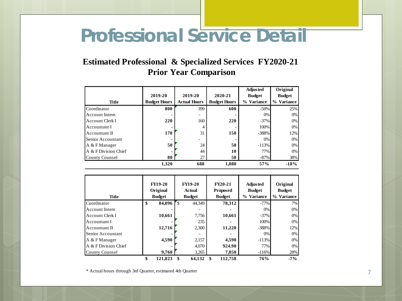## **Professional Service Detail**

#### **Estimated Professional & Specialized Services FY2020-21 Prior Year Comparison**

|                      |                     |                     |                     | <b>Adjusted</b> | Original      |
|----------------------|---------------------|---------------------|---------------------|-----------------|---------------|
|                      | 2019-20             | 2019-20             | 2020-21             | <b>Budget</b>   | <b>Budget</b> |
| Title                | <b>Budget Hours</b> | <b>Actual Hours</b> | <b>Budget Hours</b> | % Variance      | % Variance    |
| Coordinator          | 800                 | 399                 | 600                 | $-50%$          | 25%           |
| Account Intern       |                     |                     |                     | 0%              | 0%            |
| Account Clerk I      | <b>220</b>          | 160                 | 220                 | $-37%$          | $0\%$         |
| Accountant I         | ٠                   | 4                   |                     | 100%            | 0%            |
| Accountant II        | 170                 | 31                  | 150                 | $-388%$         | 12%           |
| Senior Accountant    |                     |                     |                     | 0%              | 0%            |
| A & F Manager        | 50                  | 24                  | 50                  | $-113%$         | 0%            |
| A & F Division Chief | ۰                   | 44                  | 10                  | 77%             | $0\%$         |
| County Counsel       | 80                  | 27                  | 50                  | $-87%$          | 38%           |
|                      | 1.320               | 688                 | 1.080               | 57%             | $-18%$        |

| <b>Title</b>          | <b>FY19-20</b><br>Original<br><b>Budget</b> |     | <b>FY19-20</b><br>Actual<br><b>Budget</b> | <b>FY20-21</b><br><b>Proposed</b><br><b>Budget</b> | <b>Adjusted</b><br><b>Budget</b><br>% Variance | Original<br><b>Budget</b><br>% Variance |
|-----------------------|---------------------------------------------|-----|-------------------------------------------|----------------------------------------------------|------------------------------------------------|-----------------------------------------|
| Coordinator           | \$<br>84,096                                | r s | 44.349                                    | 78,312                                             | $-77%$                                         | 7%                                      |
| <b>Account Intern</b> |                                             |     |                                           |                                                    | 0%                                             | 0%                                      |
| Account Clerk I       | 10,661                                      |     | 7,756                                     | 10,661                                             | $-37%$                                         | 0%                                      |
| Accountant I          |                                             |     | 235                                       |                                                    | 100%                                           | 0%                                      |
| Accountant II         | 12,716                                      |     | 2,300                                     | 11,220                                             | $-388%$                                        | 12%                                     |
| Senior Accountant     |                                             |     |                                           |                                                    | 0%                                             | $0\%$                                   |
| A & F Manager         | 4,590                                       |     | 2,157                                     | 4,590                                              | $-113%$                                        | $0\%$                                   |
| A & F Division Chief  |                                             |     | 4,070                                     | 924.90                                             | 77%                                            | 0%                                      |
| <b>County Counsel</b> | 9,760                                       |     | 3,265                                     | 7,050                                              | $-116%$                                        | 28%                                     |
|                       | \$<br>121.823                               | \$  | 64,132                                    | \$<br>112.758                                      | 76%                                            | $-7%$                                   |

\* Actual hours through 3rd Quarter, estimated 4th Quarter